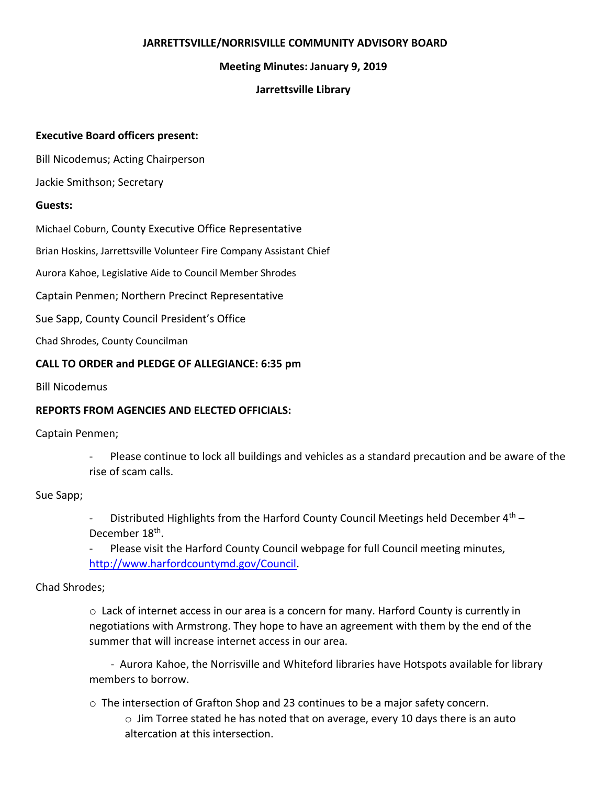## **JARRETTSVILLE/NORRISVILLE COMMUNITY ADVISORY BOARD**

### **Meeting Minutes: January 9, 2019**

### **Jarrettsville Library**

### **Executive Board officers present:**

Bill Nicodemus; Acting Chairperson

Jackie Smithson; Secretary

#### **Guests:**

Michael Coburn, County Executive Office Representative

Brian Hoskins, Jarrettsville Volunteer Fire Company Assistant Chief

Aurora Kahoe, Legislative Aide to Council Member Shrodes

Captain Penmen; Northern Precinct Representative

Sue Sapp, County Council President's Office

Chad Shrodes, County Councilman

#### **CALL TO ORDER and PLEDGE OF ALLEGIANCE: 6:35 pm**

Bill Nicodemus

## **REPORTS FROM AGENCIES AND ELECTED OFFICIALS:**

Captain Penmen;

- Please continue to lock all buildings and vehicles as a standard precaution and be aware of the rise of scam calls.

Sue Sapp;

Distributed Highlights from the Harford County Council Meetings held December  $4<sup>th</sup>$  – December 18<sup>th</sup>.

Please visit the Harford County Council webpage for full Council meeting minutes, [http://www.harfordcountymd.gov/Council.](http://www.harfordcountymd.gov/Council)

Chad Shrodes;

o Lack of internet access in our area is a concern for many. Harford County is currently in negotiations with Armstrong. They hope to have an agreement with them by the end of the summer that will increase internet access in our area.

 - Aurora Kahoe, the Norrisville and Whiteford libraries have Hotspots available for library members to borrow.

o The intersection of Grafton Shop and 23 continues to be a major safety concern. o Jim Torree stated he has noted that on average, every 10 days there is an auto altercation at this intersection.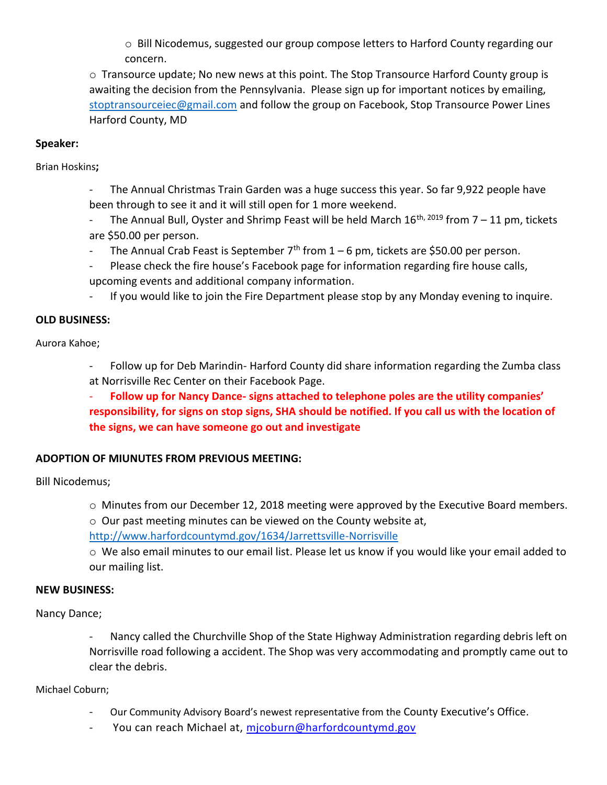o Bill Nicodemus, suggested our group compose letters to Harford County regarding our concern.

 $\circ$  Transource update; No new news at this point. The Stop Transource Harford County group is awaiting the decision from the Pennsylvania. Please sign up for important notices by emailing, [stoptransourceiec@gmail.com](mailto:stoptransourceiec@gmail.com) and follow the group on Facebook, Stop Transource Power Lines Harford County, MD

## **Speaker:**

Brian Hoskins**;** 

- The Annual Christmas Train Garden was a huge success this year. So far 9,922 people have been through to see it and it will still open for 1 more weekend.
- The Annual Bull, Oyster and Shrimp Feast will be held March  $16^{th}$ ,  $2019$  from  $7 11$  pm, tickets are \$50.00 per person.
- The Annual Crab Feast is September  $7<sup>th</sup>$  from 1 6 pm, tickets are \$50.00 per person.
- Please check the fire house's Facebook page for information regarding fire house calls, upcoming events and additional company information.
- If you would like to join the Fire Department please stop by any Monday evening to inquire.

### **OLD BUSINESS:**

Aurora Kahoe;

- Follow up for Deb Marindin- Harford County did share information regarding the Zumba class at Norrisville Rec Center on their Facebook Page.
- **Follow up for Nancy Dance- signs attached to telephone poles are the utility companies' responsibility, for signs on stop signs, SHA should be notified. If you call us with the location of the signs, we can have someone go out and investigate**

# **ADOPTION OF MIUNUTES FROM PREVIOUS MEETING:**

Bill Nicodemus;

- o Minutes from our December 12, 2018 meeting were approved by the Executive Board members.
- o Our past meeting minutes can be viewed on the County website at,

<http://www.harfordcountymd.gov/1634/Jarrettsville-Norrisville>

o We also email minutes to our email list. Please let us know if you would like your email added to our mailing list.

### **NEW BUSINESS:**

Nancy Dance;

- Nancy called the Churchville Shop of the State Highway Administration regarding debris left on Norrisville road following a accident. The Shop was very accommodating and promptly came out to clear the debris.

Michael Coburn;

- Our Community Advisory Board's newest representative from the County Executive's Office.
- You can reach Michael at, micoburn@harfordcountymd.gov